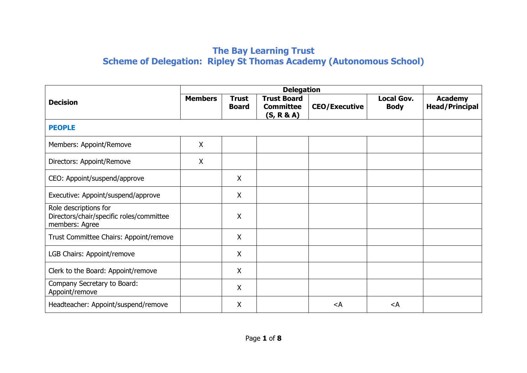## **The Bay Learning Trust Scheme of Delegation: Ripley St Thomas Academy (Autonomous School)**

| <b>Decision</b>                                                                     | <b>Members</b> | <b>Trust</b><br><b>Board</b> | <b>Trust Board</b><br><b>Committee</b><br>(S, R & A) | <b>CEO/Executive</b> | <b>Local Gov.</b><br><b>Body</b> | <b>Academy</b><br><b>Head/Principal</b> |
|-------------------------------------------------------------------------------------|----------------|------------------------------|------------------------------------------------------|----------------------|----------------------------------|-----------------------------------------|
| <b>PEOPLE</b>                                                                       |                |                              |                                                      |                      |                                  |                                         |
| Members: Appoint/Remove                                                             | $\sf X$        |                              |                                                      |                      |                                  |                                         |
| Directors: Appoint/Remove                                                           | $\mathsf{X}$   |                              |                                                      |                      |                                  |                                         |
| CEO: Appoint/suspend/approve                                                        |                | $\mathsf{X}$                 |                                                      |                      |                                  |                                         |
| Executive: Appoint/suspend/approve                                                  |                | $\mathsf{X}$                 |                                                      |                      |                                  |                                         |
| Role descriptions for<br>Directors/chair/specific roles/committee<br>members: Agree |                | X                            |                                                      |                      |                                  |                                         |
| Trust Committee Chairs: Appoint/remove                                              |                | X                            |                                                      |                      |                                  |                                         |
| LGB Chairs: Appoint/remove                                                          |                | X                            |                                                      |                      |                                  |                                         |
| Clerk to the Board: Appoint/remove                                                  |                | $\boldsymbol{\mathsf{X}}$    |                                                      |                      |                                  |                                         |
| Company Secretary to Board:<br>Appoint/remove                                       |                | X                            |                                                      |                      |                                  |                                         |
| Headteacher: Appoint/suspend/remove                                                 |                | X                            |                                                      | $\lt$ A              | $\leq$ A                         |                                         |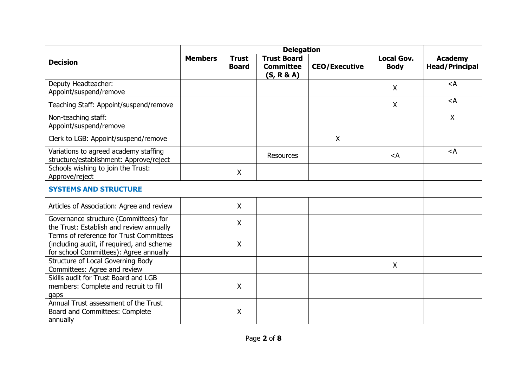| <b>Decision</b>                                                                                                                | <b>Members</b> | <b>Trust</b><br><b>Board</b> | <b>Trust Board</b><br><b>Committee</b><br>(S, R & A) | <b>CEO/Executive</b> | <b>Local Gov.</b><br><b>Body</b> | <b>Academy</b><br><b>Head/Principal</b> |
|--------------------------------------------------------------------------------------------------------------------------------|----------------|------------------------------|------------------------------------------------------|----------------------|----------------------------------|-----------------------------------------|
| Deputy Headteacher:<br>Appoint/suspend/remove                                                                                  |                |                              |                                                      |                      | X                                | $<$ A                                   |
| Teaching Staff: Appoint/suspend/remove                                                                                         |                |                              |                                                      |                      | $\boldsymbol{\mathsf{X}}$        | $<$ A                                   |
| Non-teaching staff:<br>Appoint/suspend/remove                                                                                  |                |                              |                                                      |                      |                                  | $\mathsf{X}$                            |
| Clerk to LGB: Appoint/suspend/remove                                                                                           |                |                              |                                                      | X                    |                                  |                                         |
| Variations to agreed academy staffing<br>structure/establishment: Approve/reject                                               |                |                              | <b>Resources</b>                                     |                      | $\leq$ A                         | $\lt$ A                                 |
| Schools wishing to join the Trust:<br>Approve/reject                                                                           |                | X                            |                                                      |                      |                                  |                                         |
| <b>SYSTEMS AND STRUCTURE</b>                                                                                                   |                |                              |                                                      |                      |                                  |                                         |
| Articles of Association: Agree and review                                                                                      |                | X                            |                                                      |                      |                                  |                                         |
| Governance structure (Committees) for<br>the Trust: Establish and review annually                                              |                | $\mathsf{X}$                 |                                                      |                      |                                  |                                         |
| Terms of reference for Trust Committees<br>(including audit, if required, and scheme<br>for school Committees): Agree annually |                | X                            |                                                      |                      |                                  |                                         |
| Structure of Local Governing Body<br>Committees: Agree and review                                                              |                |                              |                                                      |                      | $\sf X$                          |                                         |
| Skills audit for Trust Board and LGB<br>members: Complete and recruit to fill<br>gaps                                          |                | $\mathsf{X}$                 |                                                      |                      |                                  |                                         |
| Annual Trust assessment of the Trust<br>Board and Committees: Complete<br>annually                                             |                | X                            |                                                      |                      |                                  |                                         |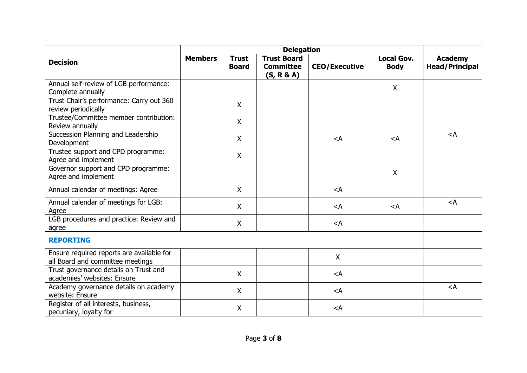| <b>Decision</b>                                                               | <b>Members</b> | <b>Trust</b><br><b>Board</b> | <b>Trust Board</b><br><b>Committee</b><br>(S, R & A) | <b>CEO/Executive</b> | <b>Local Gov.</b><br><b>Body</b> | <b>Academy</b><br><b>Head/Principal</b> |
|-------------------------------------------------------------------------------|----------------|------------------------------|------------------------------------------------------|----------------------|----------------------------------|-----------------------------------------|
| Annual self-review of LGB performance:<br>Complete annually                   |                |                              |                                                      |                      | $\mathsf{X}$                     |                                         |
| Trust Chair's performance: Carry out 360<br>review periodically               |                | $\mathsf{X}$                 |                                                      |                      |                                  |                                         |
| Trustee/Committee member contribution:<br>Review annually                     |                | $\mathsf{X}$                 |                                                      |                      |                                  |                                         |
| Succession Planning and Leadership<br>Development                             |                | X                            |                                                      | $\lt$ A              | $\lt$ A                          | $\leq$ A                                |
| Trustee support and CPD programme:<br>Agree and implement                     |                | $\mathsf{X}$                 |                                                      |                      |                                  |                                         |
| Governor support and CPD programme:<br>Agree and implement                    |                |                              |                                                      |                      | X                                |                                         |
| Annual calendar of meetings: Agree                                            |                | X                            |                                                      | $<$ A                |                                  |                                         |
| Annual calendar of meetings for LGB:<br>Agree                                 |                | $\mathsf{X}$                 |                                                      | $\lt$ A              | $\leq$ A                         | $<$ A                                   |
| LGB procedures and practice: Review and<br>agree                              |                | $\mathsf{X}$                 |                                                      | $\lt$ A              |                                  |                                         |
| <b>REPORTING</b>                                                              |                |                              |                                                      |                      |                                  |                                         |
| Ensure required reports are available for<br>all Board and committee meetings |                |                              |                                                      | X                    |                                  |                                         |
| Trust governance details on Trust and<br>academies' websites: Ensure          |                | $\mathsf{X}$                 |                                                      | $\lt$ A              |                                  |                                         |
| Academy governance details on academy<br>website: Ensure                      |                | $\mathsf{X}$                 |                                                      | $<$ A                |                                  | $\lt$ A                                 |
| Register of all interests, business,<br>pecuniary, loyalty for                |                | $\mathsf{X}$                 |                                                      | $<$ A                |                                  |                                         |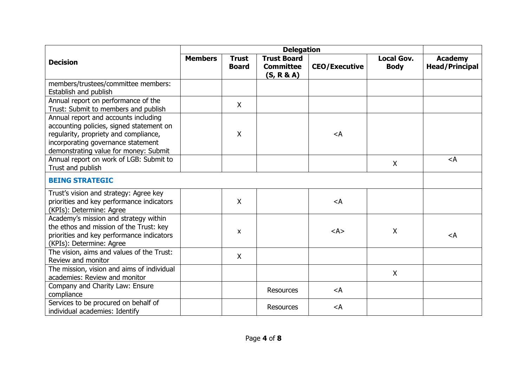| <b>Decision</b>                                                                                                                                                                                          | <b>Members</b> | <b>Trust</b><br><b>Board</b> | <b>Trust Board</b><br><b>Committee</b><br>(S, R & A) | <b>CEO/Executive</b>              | <b>Local Gov.</b><br><b>Body</b> | <b>Academy</b><br><b>Head/Principal</b> |
|----------------------------------------------------------------------------------------------------------------------------------------------------------------------------------------------------------|----------------|------------------------------|------------------------------------------------------|-----------------------------------|----------------------------------|-----------------------------------------|
| members/trustees/committee members:<br>Establish and publish                                                                                                                                             |                |                              |                                                      |                                   |                                  |                                         |
| Annual report on performance of the<br>Trust: Submit to members and publish                                                                                                                              |                | X                            |                                                      |                                   |                                  |                                         |
| Annual report and accounts including<br>accounting policies, signed statement on<br>regularity, propriety and compliance,<br>incorporating governance statement<br>demonstrating value for money: Submit |                | $\mathsf{X}$                 |                                                      | $<$ A                             |                                  |                                         |
| Annual report on work of LGB: Submit to<br>Trust and publish                                                                                                                                             |                |                              |                                                      |                                   | $\boldsymbol{\mathsf{X}}$        | $\leq$ A                                |
| <b>BEING STRATEGIC</b>                                                                                                                                                                                   |                |                              |                                                      |                                   |                                  |                                         |
| Trust's vision and strategy: Agree key<br>priorities and key performance indicators<br>(KPIs): Determine: Agree                                                                                          |                | X                            |                                                      | $<$ A                             |                                  |                                         |
| Academy's mission and strategy within<br>the ethos and mission of the Trust: key<br>priorities and key performance indicators<br>(KPIs): Determine: Agree                                                |                | $\mathsf{x}$                 |                                                      | $<\mathsf{A}\mathsf{>}$           | X                                | $<$ A                                   |
| The vision, aims and values of the Trust:<br>Review and monitor                                                                                                                                          |                | $\mathsf{X}$                 |                                                      |                                   |                                  |                                         |
| The mission, vision and aims of individual<br>academies: Review and monitor                                                                                                                              |                |                              |                                                      |                                   | $\boldsymbol{\mathsf{X}}$        |                                         |
| Company and Charity Law: Ensure<br>compliance                                                                                                                                                            |                |                              | <b>Resources</b>                                     | $\lt$ A                           |                                  |                                         |
| Services to be procured on behalf of<br>individual academies: Identify                                                                                                                                   |                |                              | <b>Resources</b>                                     | <a< td=""><td></td><td></td></a<> |                                  |                                         |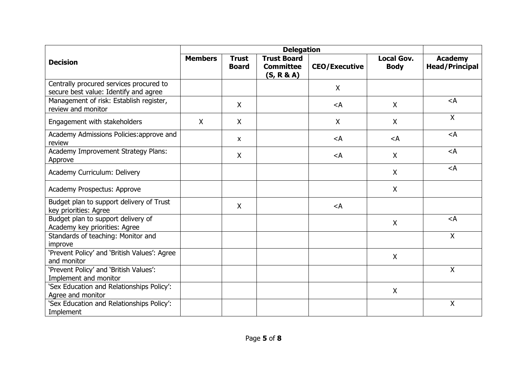| <b>Decision</b>                                                                  | <b>Members</b> | <b>Trust</b><br><b>Board</b> | <b>Trust Board</b><br><b>Committee</b><br>(S, R & A) | <b>CEO/Executive</b> | <b>Local Gov.</b><br><b>Body</b> | <b>Academy</b><br><b>Head/Principal</b> |
|----------------------------------------------------------------------------------|----------------|------------------------------|------------------------------------------------------|----------------------|----------------------------------|-----------------------------------------|
| Centrally procured services procured to<br>secure best value: Identify and agree |                |                              |                                                      | $\mathsf{X}$         |                                  |                                         |
| Management of risk: Establish register,<br>review and monitor                    |                | X                            |                                                      | $\lt$ A              | X                                | $<$ A                                   |
| Engagement with stakeholders                                                     | $\mathsf{X}$   | $\mathsf{X}$                 |                                                      | X                    | X                                | $\mathsf{X}$                            |
| Academy Admissions Policies: approve and<br>review                               |                | $\mathsf{X}$                 |                                                      | $<$ A                | $\leq$ A                         | $\lt$ A                                 |
| Academy Improvement Strategy Plans:<br>Approve                                   |                | $\mathsf{X}$                 |                                                      | $\lt$ A              | $\mathsf{X}$                     | $<$ A                                   |
| Academy Curriculum: Delivery                                                     |                |                              |                                                      |                      | X                                | $<$ A                                   |
| Academy Prospectus: Approve                                                      |                |                              |                                                      |                      | $\mathsf{X}$                     |                                         |
| Budget plan to support delivery of Trust<br>key priorities: Agree                |                | $\mathsf{X}$                 |                                                      | $<$ A                |                                  |                                         |
| Budget plan to support delivery of<br>Academy key priorities: Agree              |                |                              |                                                      |                      | $\mathsf{X}$                     | $<$ A                                   |
| Standards of teaching: Monitor and<br>improve                                    |                |                              |                                                      |                      |                                  | $\mathsf{X}$                            |
| 'Prevent Policy' and 'British Values': Agree<br>and monitor                      |                |                              |                                                      |                      | X                                |                                         |
| 'Prevent Policy' and 'British Values':<br>Implement and monitor                  |                |                              |                                                      |                      |                                  | $\mathsf{X}$                            |
| 'Sex Education and Relationships Policy':<br>Agree and monitor                   |                |                              |                                                      |                      | $\mathsf{X}$                     |                                         |
| 'Sex Education and Relationships Policy':<br>Implement                           |                |                              |                                                      |                      |                                  | $\pmb{\mathsf{X}}$                      |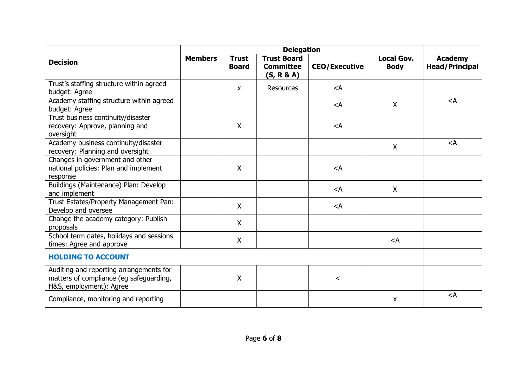| <b>Decision</b>                                                                                               | <b>Members</b> | <b>Trust</b><br><b>Board</b> | <b>Trust Board</b><br><b>Committee</b><br>(S, R & A) | <b>CEO/Executive</b>                                                  | <b>Local Gov.</b><br><b>Body</b> | <b>Academy</b><br><b>Head/Principal</b> |
|---------------------------------------------------------------------------------------------------------------|----------------|------------------------------|------------------------------------------------------|-----------------------------------------------------------------------|----------------------------------|-----------------------------------------|
| Trust's staffing structure within agreed<br>budget: Agree                                                     |                | X                            | <b>Resources</b>                                     | $<$ A                                                                 |                                  |                                         |
| Academy staffing structure within agreed<br>budget: Agree                                                     |                |                              |                                                      | <a< td=""><td><math>\sf X</math></td><td><math>&lt;</math>A</td></a<> | $\sf X$                          | $<$ A                                   |
| Trust business continuity/disaster<br>recovery: Approve, planning and<br>oversight                            |                | X                            |                                                      | $<$ A                                                                 |                                  |                                         |
| Academy business continuity/disaster<br>recovery: Planning and oversight                                      |                |                              |                                                      |                                                                       | X                                | $\leq$ A                                |
| Changes in government and other<br>national policies: Plan and implement<br>response                          |                | X                            |                                                      | $<$ A                                                                 |                                  |                                         |
| Buildings (Maintenance) Plan: Develop<br>and implement                                                        |                |                              |                                                      | $<$ A                                                                 | X                                |                                         |
| Trust Estates/Property Management Pan:<br>Develop and oversee                                                 |                | $\mathsf{X}$                 |                                                      | $\leq$ A                                                              |                                  |                                         |
| Change the academy category: Publish<br>proposals                                                             |                | $\mathsf{X}$                 |                                                      |                                                                       |                                  |                                         |
| School term dates, holidays and sessions<br>times: Agree and approve                                          |                | X                            |                                                      |                                                                       | $\lt$ A                          |                                         |
| <b>HOLDING TO ACCOUNT</b>                                                                                     |                |                              |                                                      |                                                                       |                                  |                                         |
| Auditing and reporting arrangements for<br>matters of compliance (eg safeguarding,<br>H&S, employment): Agree |                | $\mathsf{X}$                 |                                                      | $\,<\,$                                                               |                                  |                                         |
| Compliance, monitoring and reporting                                                                          |                |                              |                                                      |                                                                       | X                                | $<$ A                                   |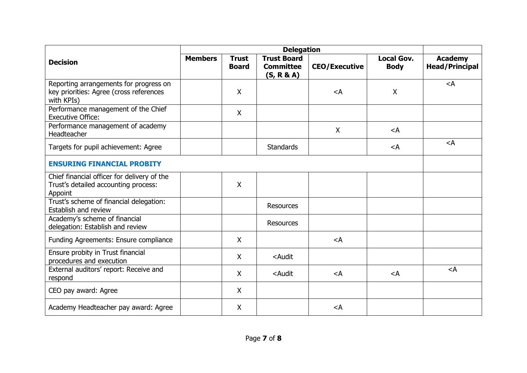| <b>Decision</b>                                                                                 | <b>Members</b> | <b>Trust</b><br><b>Board</b> | <b>Trust Board</b><br><b>Committee</b><br>(S, R & A)                                                   | <b>CEO/Executive</b> | <b>Local Gov.</b><br><b>Body</b> | <b>Academy</b><br><b>Head/Principal</b> |
|-------------------------------------------------------------------------------------------------|----------------|------------------------------|--------------------------------------------------------------------------------------------------------|----------------------|----------------------------------|-----------------------------------------|
| Reporting arrangements for progress on<br>key priorities: Agree (cross references<br>with KPIs) |                | X                            |                                                                                                        | $<$ A                | $\sf X$                          | $<$ A                                   |
| Performance management of the Chief<br><b>Executive Office:</b>                                 |                | $\mathsf{X}$                 |                                                                                                        |                      |                                  |                                         |
| Performance management of academy<br>Headteacher                                                |                |                              |                                                                                                        | X                    | $\prec$ A                        |                                         |
| Targets for pupil achievement: Agree                                                            |                |                              | <b>Standards</b>                                                                                       |                      | $\lt$ A                          | $\leq$ A                                |
| <b>ENSURING FINANCIAL PROBITY</b>                                                               |                |                              |                                                                                                        |                      |                                  |                                         |
| Chief financial officer for delivery of the<br>Trust's detailed accounting process:<br>Appoint  |                | X                            |                                                                                                        |                      |                                  |                                         |
| Trust's scheme of financial delegation:<br>Establish and review                                 |                |                              | <b>Resources</b>                                                                                       |                      |                                  |                                         |
| Academy's scheme of financial<br>delegation: Establish and review                               |                |                              | <b>Resources</b>                                                                                       |                      |                                  |                                         |
| Funding Agreements: Ensure compliance                                                           |                | $\mathsf{X}$                 |                                                                                                        | $<$ A                |                                  |                                         |
| Ensure probity in Trust financial<br>procedures and execution                                   |                | $\mathsf{X}$                 | <audit< td=""><td></td><td></td><td></td></audit<>                                                     |                      |                                  |                                         |
| External auditors' report: Receive and<br>respond                                               |                | $\mathsf{X}$                 | <audit< td=""><td><math>\lt</math>A</td><td><math>\lt</math>A</td><td><math>\leq</math>A</td></audit<> | $\lt$ A              | $\lt$ A                          | $\leq$ A                                |
| CEO pay award: Agree                                                                            |                | $\mathsf{X}$                 |                                                                                                        |                      |                                  |                                         |
| Academy Headteacher pay award: Agree                                                            |                | $\mathsf{X}$                 |                                                                                                        | $\lt$ A              |                                  |                                         |